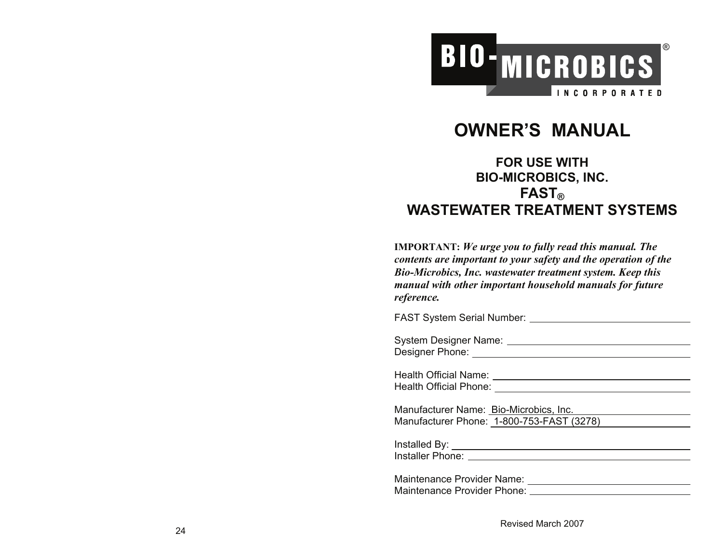

# **OWNER'S MANUAL**

# **FOR USE WITH BIO-MICROBICS, INC. FAST ®WASTEWATER TREATMENT SYSTEMS**

**IMPORTANT:** *We urge you to fully read this manual. The contents are important to your safety and the operation of the Bio-Microbics, Inc. wastewater treatment system. Keep this manual with other important household manuals for future reference.*

FAST System Serial Number: System Designer Name:

Designer Phone:

Health Official Name: Health Official Phone:

Manufacturer Name: Bio-Microbics, Inc. Manufacturer Phone: 1-800-753-FAST (3278)

Installed By:

Installer Phone: **Installer** Phone:

| Maintenance Provider Name:  |  |
|-----------------------------|--|
| Maintenance Provider Phone: |  |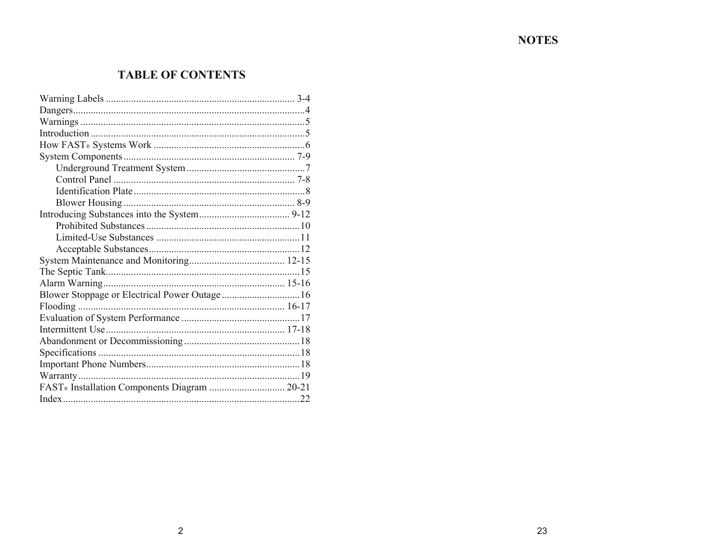# **NOTES**

# **TABLE OF CONTENTS**

| Blower Stoppage or Electrical Power Outage 16 |  |  |
|-----------------------------------------------|--|--|
|                                               |  |  |
|                                               |  |  |
|                                               |  |  |
|                                               |  |  |
|                                               |  |  |
|                                               |  |  |
|                                               |  |  |
| FAST® Installation Components Diagram  20-21  |  |  |
|                                               |  |  |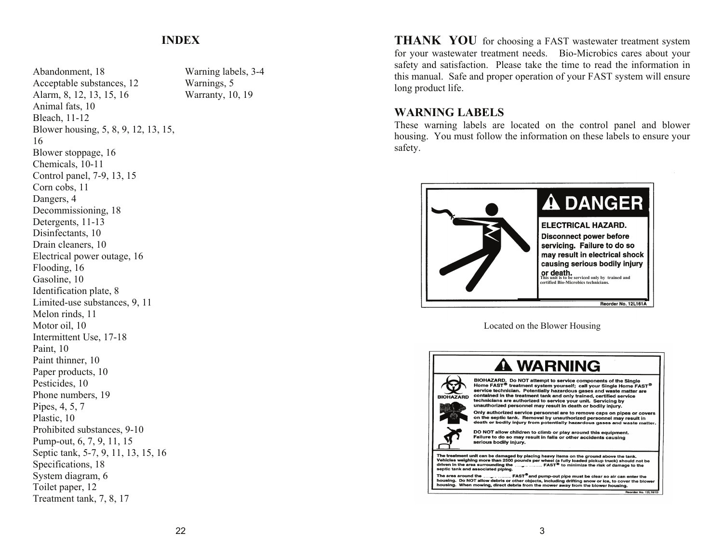### **INDEX**

Abandonment, 18 Acceptable substances, 12 Alarm, 8, 12, 13, 15, 16 Animal fats, 10 Bleach, 11-12 Blower housing, 5, 8, 9, 12, 13, 15, 16 Blower stoppage, 16 Chemicals, 10-11 Control panel, 7-9, 13, 15 Corn cobs, 11 Dangers, 4 Decommissioning, 18 Detergents, 11-13 Disinfectants, 10 Drain cleaners, 10 Electrical power outage, 16 Flooding, 16 Gasoline, 10 Identification plate, 8 Limited-use substances, 9, 11 Melon rinds, 11 Motor oil, 10 Intermittent Use, 17-18 Paint, 10 Paint thinner, 10 Paper products, 10 Pesticides, 10 Phone numbers, 19 Pipes, 4, 5, 7 Plastic, 10 Prohibited substances, 9-10 Pump-out, 6, 7, 9, 11, 15 Septic tank, 5-7, 9, 11, 13, 15, 16 Specifications, 18 System diagram, 6 Toilet paper, 12 Treatment tank, 7, 8, 17

Warning labels, 3-4 Warnings, 5 Warranty, 10, 19

**THANK YOU** for choosing a FAST wastewater treatment system for your wastewater treatment needs. Bio-Microbics cares about your safety and satisfaction. Please take the time to read the information in this manual. Safe and proper operation of your FAST system will ensure long product life.

### **WARNING LABELS**

These warning labels are located on the control panel and blower housing. You must follow the information on these labels to ensure your safety.



Located on the Blower Housing

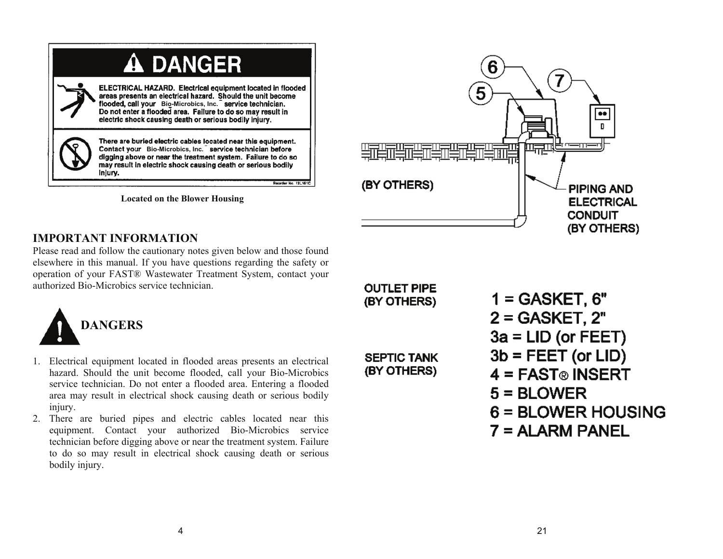| <b>A DANGER</b>                                                                                                                                                                                                                                                                                                  |
|------------------------------------------------------------------------------------------------------------------------------------------------------------------------------------------------------------------------------------------------------------------------------------------------------------------|
| ELECTRICAL HAZARD. Electrical equipment located in flooded<br>areas presents an electrical hazard. Should the unit become<br>flooded, call your Bio-Microbics, Inc. service technician.<br>Do not enter a flooded area. Failure to do so may result in<br>electric shock causing death or serious bodily injury. |
| There are buried electric cables located near this equipment.<br>Contact your Bio-Microbics, Inc. service technician before<br>digging above or near the treatment system. Failure to do so<br>may result in electric shock causing death or serious bodily<br>injury.                                           |
| Reorder No. 12L161                                                                                                                                                                                                                                                                                               |

**Located on the Blower Housing** 



## **IMPORTANT INFORMATION**

Please read and follow the cautionary notes given below and those found elsewhere in this manual. If you have questions regarding the safety or operation of your FAST® Wastewater Treatment System, contact your authorized Bio-Microbics service technician.



- 1. Electrical equipment located in flooded areas presents an electrical hazard. Should the unit become flooded, call your Bio-Microbics service technician. Do not enter a flooded area. Entering a flooded area may result in electrical shock causing death or serious bodily injury.
- 2. There are buried pipes and electric cables located near this equipment. Contact your authorized Bio-Microbics service technician before digging above or near the treatment system. Failure to do so may result in electrical shock causing death or serious bodily injury.

**OUTLET PIPE** (BY OTHERS)

**SEPTIC TANK** (BY OTHERS)

 $1 =$  GASKET, 6"  $2 = GASKET, 2"$  $3a = LID$  (or FEET)  $3b = FEET (or LID)$  $4 = FAST<sub>®</sub>$  INSERT  $5 = BLOWER$  $6 =$  BLOWER HOUSING  $7 = ALARM PANEL$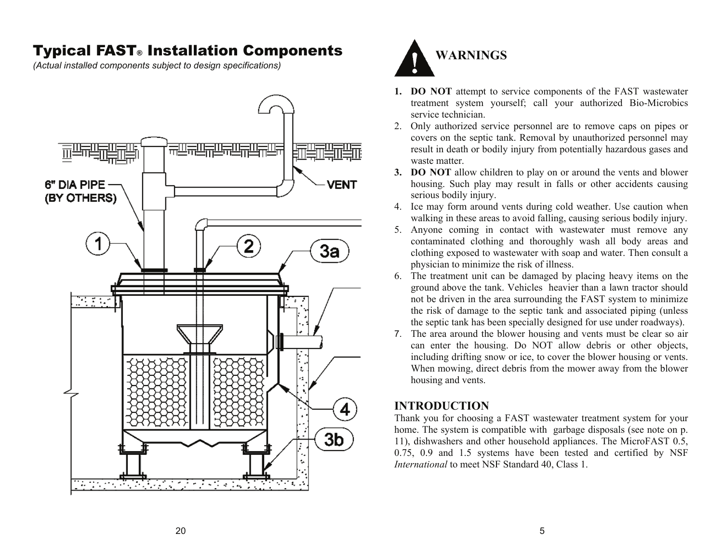# Typical FAST® Installation Components

*(Actual installed components subject to design specifications)* 





- **1. DO NOT** attempt to service components of the FAST wastewater treatment system yourself; call your authorized Bio-Microbics service technician.
- 2. Only authorized service personnel are to remove caps on pipes or covers on the septic tank. Removal by unauthorized personnel may result in death or bodily injury from potentially hazardous gases and waste matter.
- **3. DO NOT** allow children to play on or around the vents and blower housing. Such play may result in falls or other accidents causing serious bodily injury.
- 4. Ice may form around vents during cold weather. Use caution when walking in these areas to avoid falling, causing serious bodily injury.
- 5. Anyone coming in contact with wastewater must remove any contaminated clothing and thoroughly wash all body areas and clothing exposed to wastewater with soap and water. Then consult a physician to minimize the risk of illness.
- 6. The treatment unit can be damaged by placing heavy items on the ground above the tank. Vehicles heavier than a lawn tractor should not be driven in the area surrounding the FAST system to minimize the risk of damage to the septic tank and associated piping (unless the septic tank has been specially designed for use under roadways).
- 7. The area around the blower housing and vents must be clear so air can enter the housing. Do NOT allow debris or other objects, including drifting snow or ice, to cover the blower housing or vents. When mowing, direct debris from the mower away from the blower housing and vents.

# **INTRODUCTION**

Thank you for choosing a FAST wastewater treatment system for your home. The system is compatible with garbage disposals (see note on p. 11), dishwashers and other household appliances. The MicroFAST 0.5, 0.75, 0.9 and 1.5 systems have been tested and certified by NSF *International* to meet NSF Standard 40, Class 1.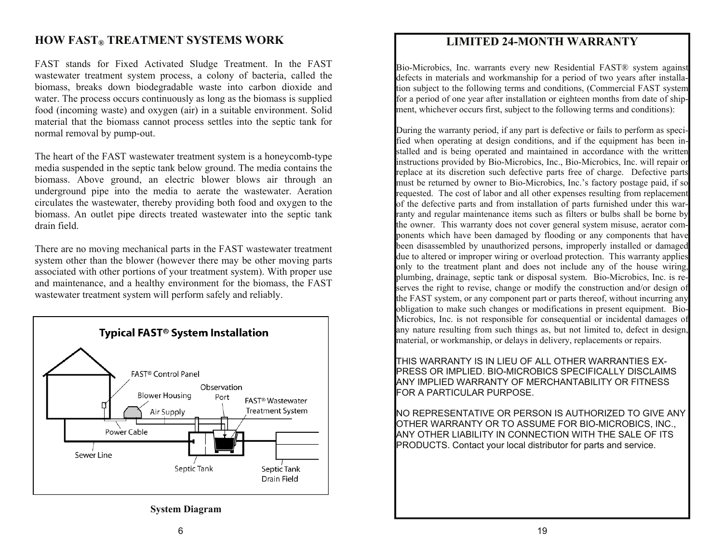## **HOW FAST<sup>®</sup> TREATMENT SYSTEMS WORK**

FAST stands for Fixed Activated Sludge Treatment. In the FAST wastewater treatment system process, a colony of bacteria, called the biomass, breaks down biodegradable waste into carbon dioxide and water. The process occurs continuously as long as the biomass is supplied food (incoming waste) and oxygen (air) in a suitable environment. Solid material that the biomass cannot process settles into the septic tank for normal removal by pump-out.

The heart of the FAST wastewater treatment system is a honeycomb-type media suspended in the septic tank below ground. The media contains the biomass. Above ground, an electric blower blows air through an underground pipe into the media to aerate the wastewater. Aeration circulates the wastewater, thereby providing both food and oxygen to the biomass. An outlet pipe directs treated wastewater into the septic tank drain field.

There are no moving mechanical parts in the FAST wastewater treatment system other than the blower (however there may be other moving parts associated with other portions of your treatment system). With proper use and maintenance, and a healthy environment for the biomass, the FAST wastewater treatment system will perform safely and reliably.



**System Diagram** 

### **LIMITED 24-MONTH WARRANTY**

Bio-Microbics, Inc. warrants every new Residential FAST® system against defects in materials and workmanship for a period of two years after installation subject to the following terms and conditions, (Commercial FAST system for a period of one year after installation or eighteen months from date of shipment, whichever occurs first, subject to the following terms and conditions):

During the warranty period, if any part is defective or fails to perform as specified when operating at design conditions, and if the equipment has been installed and is being operated and maintained in accordance with the written instructions provided by Bio-Microbics, Inc., Bio-Microbics, Inc. will repair or replace at its discretion such defective parts free of charge. Defective parts must be returned by owner to Bio-Microbics, Inc.'s factory postage paid, if so requested. The cost of labor and all other expenses resulting from replacement of the defective parts and from installation of parts furnished under this warranty and regular maintenance items such as filters or bulbs shall be borne by the owner. This warranty does not cover general system misuse, aerator components which have been damaged by flooding or any components that have been disassembled by unauthorized persons, improperly installed or damaged due to altered or improper wiring or overload protection. This warranty applies only to the treatment plant and does not include any of the house wiring, plumbing, drainage, septic tank or disposal system. Bio-Microbics, Inc. is reserves the right to revise, change or modify the construction and/or design of the FAST system, or any component part or parts thereof, without incurring any obligation to make such changes or modifications in present equipment. Bio-Microbics, Inc. is not responsible for consequential or incidental damages of any nature resulting from such things as, but not limited to, defect in design, material, or workmanship, or delays in delivery, replacements or repairs.

THIS WARRANTY IS IN LIEU OF ALL OTHER WARRANTIES EX-PRESS OR IMPLIED. BIO-MICROBICS SPECIFICALLY DISCLAIMS ANY IMPLIED WARRANTY OF MERCHANTABILITY OR FITNESS FOR A PARTICULAR PURPOSE.

NO REPRESENTATIVE OR PERSON IS AUTHORIZED TO GIVE ANY OTHER WARRANTY OR TO ASSUME FOR BIO-MICROBICS, INC., ANY OTHER LIABILITY IN CONNECTION WITH THE SALE OF ITS PRODUCTS. Contact your local distributor for parts and service.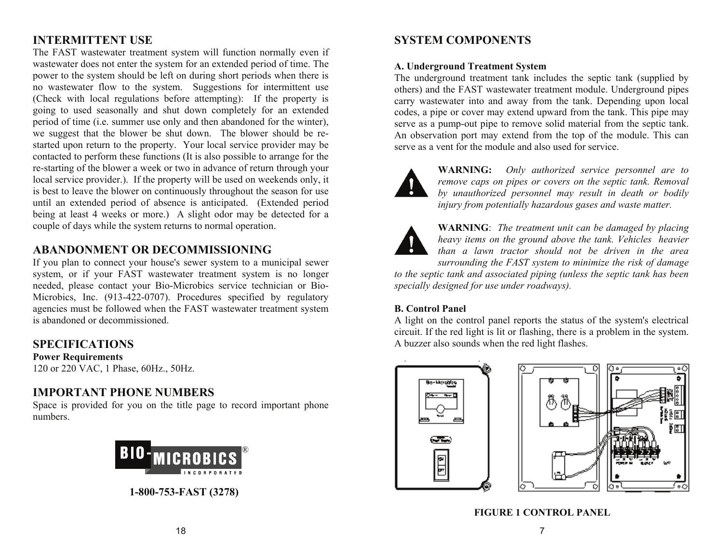# **INTERMITTENT USE**

The FAST wastewater treatment system will function normally even if wastewater does not enter the system for an extended period of time. The power to the system should be left on during short periods when there is no wastewater flow to the system. Suggestions for intermittent use (Check with local regulations before attempting): If the property is going to used seasonally and shut down completely for an extended period of time (i.e. summer use only and then abandoned for the winter), we suggest that the blower be shut down. The blower should be restarted upon return to the property. Your local service provider may be contacted to perform these functions (It is also possible to arrange for the re-starting of the blower a week or two in advance of return through your local service provider.). If the property will be used on weekends only, it is best to leave the blower on continuously throughout the season for use until an extended period of absence is anticipated. (Extended period being at least 4 weeks or more.) A slight odor may be detected for a couple of days while the system returns to normal operation.

# **ABANDONMENT OR DECOMMISSIONING**

If you plan to connect your house's sewer system to a municipal sewer system, or if your FAST wastewater treatment system is no longer needed, please contact your Bio-Microbics service technician or Bio-Microbics, Inc. (913-422-0707). Procedures specified by regulatory agencies must be followed when the FAST wastewater treatment system is abandoned or decommissioned.

## **SPECIFICATIONS**

### **Power Requirements**

120 or 220 VAC, 1 Phase, 60Hz., 50Hz.

# **IMPORTANT PHONE NUMBERS**

Space is provided for you on the title page to record important phone numbers.



**1-800-753-FAST (3278)** 

# **SYSTEM COMPONENTS**

#### **A. Underground Treatment System**

The underground treatment tank includes the septic tank (supplied by others) and the FAST wastewater treatment module. Underground pipes carry wastewater into and away from the tank. Depending upon local codes, a pipe or cover may extend upward from the tank. This pipe may serve as a pump-out pipe to remove solid material from the septic tank. An observation port may extend from the top of the module. This can serve as a vent for the module and also used for service.



**WARNING:** *Only authorized service personnel are to remove caps on pipes or covers on the septic tank. Removal by unauthorized personnel may result in death or bodily injury from potentially hazardous gases and waste matter.*



**WARNING**: *The treatment unit can be damaged by placing heavy items on the ground above the tank. Vehicles heavier than a lawn tractor should not be driven in the area surrounding the FAST system to minimize the risk of damage* 

*to the septic tank and associated piping (unless the septic tank has been specially designed for use under roadways).* 

### **B. Control Panel**

A light on the control panel reports the status of the system's electrical circuit. If the red light is lit or flashing, there is a problem in the system. A buzzer also sounds when the red light flashes.





**FIGURE 1 CONTROL PANEL**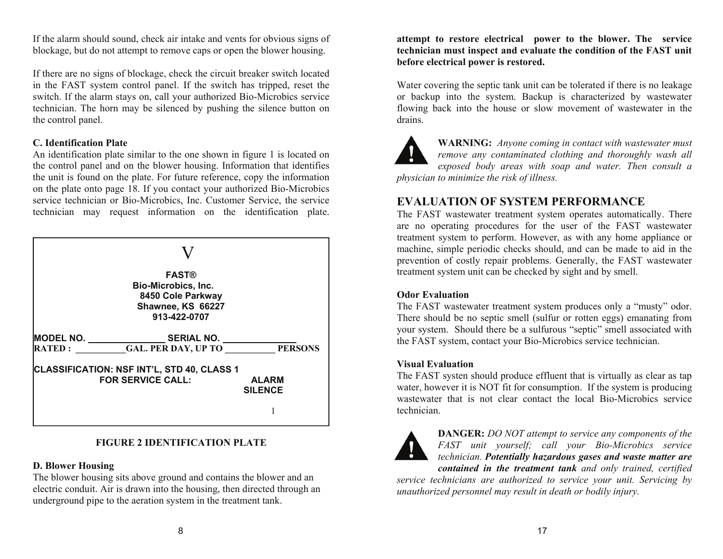If the alarm should sound, check air intake and vents for obvious signs of blockage, but do not attempt to remove caps or open the blower housing.

If there are no signs of blockage, check the circuit breaker switch located in the FAST system control panel. If the switch has tripped, reset the switch. If the alarm stays on, call your authorized Bio-Microbics service technician. The horn may be silenced by pushing the silence button on the control panel.

#### **C. Identification Plate**

An identification plate similar to the one shown in figure 1 is located on the control panel and on the blower housing. Information that identifies the unit is found on the plate. For future reference, copy the information on the plate onto page 18. If you contact your authorized Bio-Microbics service technician or Bio-Microbics, Inc. Customer Service, the service technician may request information on the identification plate.



#### **FIGURE 2 IDENTIFICATION PLATE**

#### **D. Blower Housing**

The blower housing sits above ground and contains the blower and an electric conduit. Air is drawn into the housing, then directed through an underground pipe to the aeration system in the treatment tank.

**attempt to restore electrical power to the blower. The service technician must inspect and evaluate the condition of the FAST unit before electrical power is restored.** 

Water covering the septic tank unit can be tolerated if there is no leakage or backup into the system. Backup is characterized by wastewater flowing back into the house or slow movement of wastewater in the drains.



**WARNING:** *Anyone coming in contact with wastewater must remove any contaminated clothing and thoroughly wash all exposed body areas with soap and water. Then consult a* 

*physician to minimize the risk of illness.*

### **EVALUATION OF SYSTEM PERFORMANCE**

The FAST wastewater treatment system operates automatically. There are no operating procedures for the user of the FAST wastewater treatment system to perform. However, as with any home appliance or machine, simple periodic checks should, and can be made to aid in the prevention of costly repair problems. Generally, the FAST wastewater treatment system unit can be checked by sight and by smell.

#### **Odor Evaluation**

The FAST wastewater treatment system produces only a "musty" odor. There should be no septic smell (sulfur or rotten eggs) emanating from your system. Should there be a sulfurous "septic" smell associated with the FAST system, contact your Bio-Microbics service technician.

#### **Visual Evaluation**

The FAST systen should produce effluent that is virtually as clear as tap water, however it is NOT fit for consumption. If the system is producing wastewater that is not clear contact the local Bio-Microbics service technician.



**DANGER:** *DO NOT attempt to service any components of the FAST unit yourself; call your Bio-Microbics service technician. Potentially hazardous gases and waste matter are contained in the treatment tank and only trained, certified* 

*service technicians are authorized to service your unit. Servicing by unauthorized personnel may result in death or bodily injury.*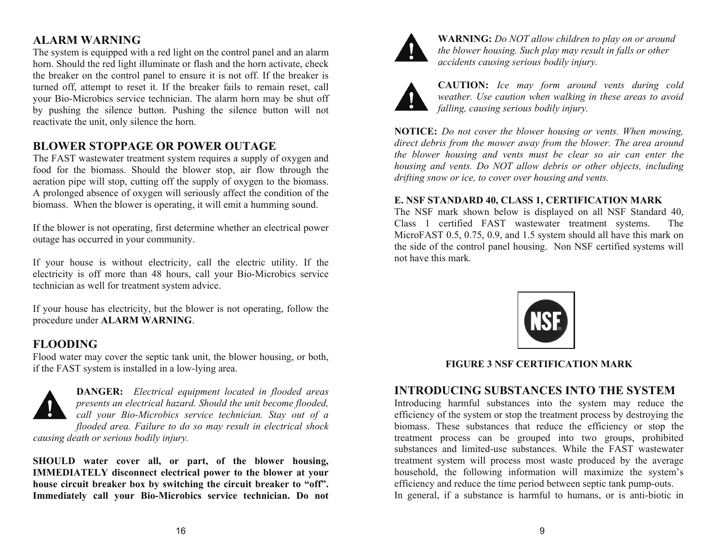# **ALARM WARNING**

The system is equipped with a red light on the control panel and an alarm horn. Should the red light illuminate or flash and the horn activate, check the breaker on the control panel to ensure it is not off. If the breaker is turned off, attempt to reset it. If the breaker fails to remain reset, call your Bio-Microbics service technician. The alarm horn may be shut off by pushing the silence button. Pushing the silence button will not reactivate the unit, only silence the horn.

# **BLOWER STOPPAGE OR POWER OUTAGE**

The FAST wastewater treatment system requires a supply of oxygen and food for the biomass. Should the blower stop, air flow through the aeration pipe will stop, cutting off the supply of oxygen to the biomass. A prolonged absence of oxygen will seriously affect the condition of the biomass. When the blower is operating, it will emit a humming sound.

If the blower is not operating, first determine whether an electrical power outage has occurred in your community.

If your house is without electricity, call the electric utility. If the electricity is off more than 48 hours, call your Bio-Microbics service technician as well for treatment system advice.

If your house has electricity, but the blower is not operating, follow the procedure under **ALARM WARNING**.

# **FLOODING**

Flood water may cover the septic tank unit, the blower housing, or both, if the FAST system is installed in a low-lying area.



**DANGER:** *Electrical equipment located in flooded areas presents an electrical hazard. Should the unit become flooded, call your Bio-Microbics service technician. Stay out of a flooded area. Failure to do so may result in electrical shock* 

*causing death or serious bodily injury.*

**SHOULD water cover all, or part, of the blower housing, IMMEDIATELY disconnect electrical power to the blower at your house circuit breaker box by switching the circuit breaker to "off". Immediately call your Bio-Microbics service technician. Do not** 



**WARNING:** *Do NOT allow children to play on or around the blower housing. Such play may result in falls or other accidents causing serious bodily injury.*



**CAUTION:** *Ice may form around vents during cold weather. Use caution when walking in these areas to avoid falling, causing serious bodily injury.*

**NOTICE:** *Do not cover the blower housing or vents. When mowing, direct debris from the mower away from the blower. The area around the blower housing and vents must be clear so air can enter the housing and vents. Do NOT allow debris or other objects, including drifting snow or ice, to cover over housing and vents.*

#### **E. NSF STANDARD 40, CLASS 1, CERTIFICATION MARK**

The NSF mark shown below is displayed on all NSF Standard 40, Class 1 certified FAST wastewater treatment systems. The MicroFAST 0.5, 0.75, 0.9, and 1.5 system should all have this mark on the side of the control panel housing. Non NSF certified systems will not have this mark.



### **FIGURE 3 NSF CERTIFICATION MARK**

## **INTRODUCING SUBSTANCES INTO THE SYSTEM**

Introducing harmful substances into the system may reduce the efficiency of the system or stop the treatment process by destroying the biomass. These substances that reduce the efficiency or stop the treatment process can be grouped into two groups, prohibited substances and limited-use substances. While the FAST wastewater treatment system will process most waste produced by the average household, the following information will maximize the system's efficiency and reduce the time period between septic tank pump-outs. In general, if a substance is harmful to humans, or is anti-biotic in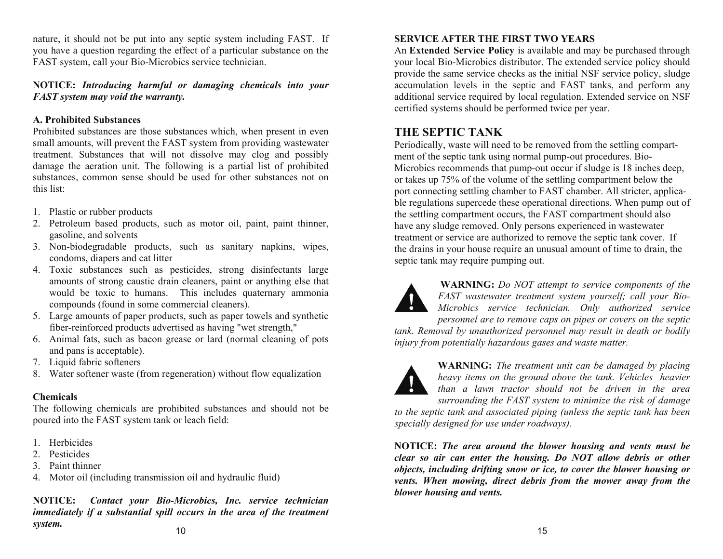nature, it should not be put into any septic system including FAST. If you have a question regarding the effect of a particular substance on the FAST system, call your Bio-Microbics service technician.

#### **NOTICE:** *Introducing harmful or damaging chemicals into your FAST system may void the warranty.*

#### **A. Prohibited Substances**

Prohibited substances are those substances which, when present in even small amounts, will prevent the FAST system from providing wastewater treatment. Substances that will not dissolve may clog and possibly damage the aeration unit. The following is a partial list of prohibited substances, common sense should be used for other substances not on this list:

- 1. Plastic or rubber products
- 2. Petroleum based products, such as motor oil, paint, paint thinner, gasoline, and solvents
- 3. Non-biodegradable products, such as sanitary napkins, wipes, condoms, diapers and cat litter
- 4. Toxic substances such as pesticides, strong disinfectants large amounts of strong caustic drain cleaners, paint or anything else that would be toxic to humans. This includes quaternary ammonia compounds (found in some commercial cleaners).
- 5. Large amounts of paper products, such as paper towels and synthetic fiber-reinforced products advertised as having "wet strength,"
- 6. Animal fats, such as bacon grease or lard (normal cleaning of pots and pans is acceptable).
- 7. Liquid fabric softeners
- 8. Water softener waste (from regeneration) without flow equalization

#### **Chemicals**

The following chemicals are prohibited substances and should not be poured into the FAST system tank or leach field:

- 1. Herbicides
- 2. Pesticides
- 3. Paint thinner
- 4. Motor oil (including transmission oil and hydraulic fluid)

**NOTICE:** *Contact your Bio-Microbics, Inc. service technician immediately if a substantial spill occurs in the area of the treatment system.* 

#### **SERVICE AFTER THE FIRST TWO YEARS**

An **Extended Service Policy** is available and may be purchased through your local Bio-Microbics distributor. The extended service policy should provide the same service checks as the initial NSF service policy, sludge accumulation levels in the septic and FAST tanks, and perform any additional service required by local regulation. Extended service on NSF certified systems should be performed twice per year.

## **THE SEPTIC TANK**

Periodically, waste will need to be removed from the settling compartment of the septic tank using normal pump-out procedures. Bio-Microbics recommends that pump-out occur if sludge is 18 inches deep, or takes up 75% of the volume of the settling compartment below the port connecting settling chamber to FAST chamber. All stricter, applicable regulations supercede these operational directions. When pump out of the settling compartment occurs, the FAST compartment should also have any sludge removed. Only persons experienced in wastewater treatment or service are authorized to remove the septic tank cover. If the drains in your house require an unusual amount of time to drain, the septic tank may require pumping out.



**WARNING:** *Do NOT attempt to service components of the FAST wastewater treatment system yourself; call your Bio-Microbics service technician. Only authorized service* 

*personnel are to remove caps on pipes or covers on the septic tank. Removal by unauthorized personnel may result in death or bodily injury from potentially hazardous gases and waste matter.*



**WARNING:** *The treatment unit can be damaged by placing heavy items on the ground above the tank. Vehicles heavier than a lawn tractor should not be driven in the area surrounding the FAST system to minimize the risk of damage* 

*to the septic tank and associated piping (unless the septic tank has been specially designed for use under roadways).*

**NOTICE:** *The area around the blower housing and vents must be clear so air can enter the housing. Do NOT allow debris or other objects, including drifting snow or ice, to cover the blower housing or vents. When mowing, direct debris from the mower away from the blower housing and vents.*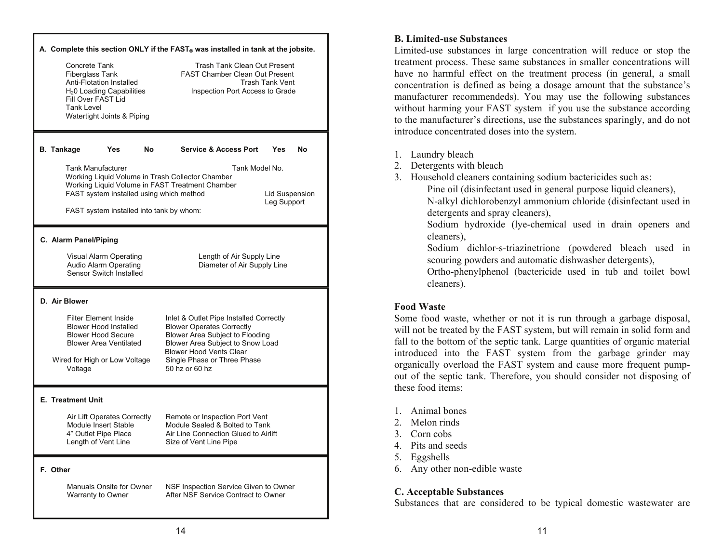| Concrete Tank<br>Fiberglass Tank<br><b>Anti-Flotation Installed</b><br>H <sub>2</sub> 0 Loading Capabilities<br>Fill Over FAST Lid<br>Tank Level<br>Watertight Joints & Piping                                                                             | A. Complete this section ONLY if the FAST <sub>®</sub> was installed in tank at the jobsite.<br><b>Trash Tank Clean Out Present</b><br><b>FAST Chamber Clean Out Present</b><br><b>Trash Tank Vent</b><br>Inspection Port Access to Grade |
|------------------------------------------------------------------------------------------------------------------------------------------------------------------------------------------------------------------------------------------------------------|-------------------------------------------------------------------------------------------------------------------------------------------------------------------------------------------------------------------------------------------|
| <b>B.</b> Tankage<br><b>Yes</b><br>No.<br>Tank Manufacturer<br>Working Liquid Volume in Trash Collector Chamber<br>Working Liquid Volume in FAST Treatment Chamber<br>FAST system installed using which method<br>FAST system installed into tank by whom: | <b>Service &amp; Access Port</b><br>Yes<br>No<br>Tank Model No.<br>Lid Suspension<br>Leg Support                                                                                                                                          |
| C. Alarm Panel/Piping<br>Visual Alarm Operating<br>Audio Alarm Operating<br>Sensor Switch Installed                                                                                                                                                        | Length of Air Supply Line<br>Diameter of Air Supply Line                                                                                                                                                                                  |
| D. Air Blower<br><b>Filter Element Inside</b><br><b>Blower Hood Installed</b><br><b>Blower Hood Secure</b><br><b>Blower Area Ventilated</b><br>Wired for High or Low Voltage<br>Voltage                                                                    | Inlet & Outlet Pipe Installed Correctly<br><b>Blower Operates Correctly</b><br>Blower Area Subject to Flooding<br>Blower Area Subject to Snow Load<br><b>Blower Hood Vents Clear</b><br>Single Phase or Three Phase<br>50 hz or 60 hz     |
| <b>E. Treatment Unit</b><br>Air Lift Operates Correctly<br>Module Insert Stable<br>4" Outlet Pipe Place<br>Length of Vent Line                                                                                                                             | Remote or Inspection Port Vent<br>Module Sealed & Bolted to Tank<br>Air Line Connection Glued to Airlift<br>Size of Vent Line Pipe                                                                                                        |
| F. Other<br>Manuals Onsite for Owner<br>Warranty to Owner                                                                                                                                                                                                  | NSF Inspection Service Given to Owner<br>After NSF Service Contract to Owner                                                                                                                                                              |

#### **B. Limited-use Substances**

Limited-use substances in large concentration will reduce or stop the treatment process. These same substances in smaller concentrations will have no harmful effect on the treatment process (in general, a small concentration is defined as being a dosage amount that the substance's manufacturer recommendeds). You may use the following substances without harming your FAST system if you use the substance according to the manufacturer's directions, use the substances sparingly, and do not introduce concentrated doses into the system.

- 1. Laundry bleach
- 2. Detergents with bleach
- 3. Household cleaners containing sodium bactericides such as:
	- Pine oil (disinfectant used in general purpose liquid cleaners),

N-alkyl dichlorobenzyl ammonium chloride (disinfectant used in detergents and spray cleaners),

Sodium hydroxide (lye-chemical used in drain openers and cleaners),

Sodium dichlor-s-triazinetrione (powdered bleach used in scouring powders and automatic dishwasher detergents),

Ortho-phenylphenol (bactericide used in tub and toilet bowl cleaners).

#### **Food Waste**

Some food waste, whether or not it is run through a garbage disposal, will not be treated by the FAST system, but will remain in solid form and fall to the bottom of the septic tank. Large quantities of organic material introduced into the FAST system from the garbage grinder may organically overload the FAST system and cause more frequent pumpout of the septic tank. Therefore, you should consider not disposing of these food items:

- 1. Animal bones
- 2. Melon rinds
- 3. Corn cobs
- 4. Pits and seeds
- 5. Eggshells
- 6. Any other non-edible waste

#### **C. Acceptable Substances**

Substances that are considered to be typical domestic wastewater are